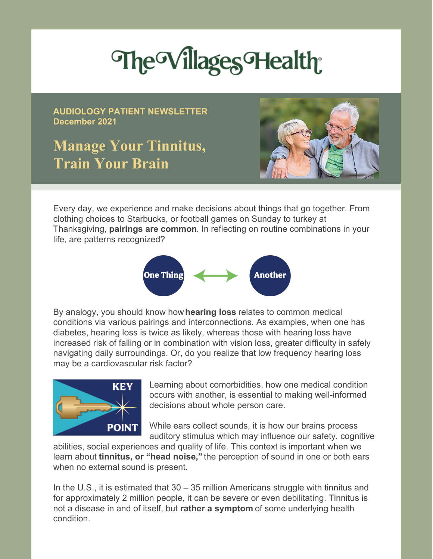# The Villages Health

**AUDIOLOGY PATIENT NEWSLETTER December 2021**

## **Manage Your Tinnitus, Train Your Brain**



Every day, we experience and make decisions about things that go together. From clothing choices to Starbucks, or football games on Sunday to turkey at Thanksgiving, **pairings are common**. In reflecting on routine combinations in your life, are patterns recognized?



By analogy, you should know how **hearing loss** relates to common medical conditions via various pairings and interconnections. As examples, when one has diabetes, hearing loss is twice as likely, whereas those with hearing loss have increased risk of falling or in combination with vision loss, greater difficulty in safely navigating daily surroundings. Or, do you realize that low frequency hearing loss may be a cardiovascular risk factor?



Learning about comorbidities, how one medical condition occurs with another, is essential to making well-informed decisions about whole person care.

While ears collect sounds, it is how our brains process auditory stimulus which may influence our safety, cognitive

abilities, social experiences and quality of life. This context is important when we learn about **tinnitus, or "head noise,"** the perception of sound in one or both ears when no external sound is present.

In the U.S., it is estimated that 30 – 35 million Americans struggle with tinnitus and for approximately 2 million people, it can be severe or even debilitating. Tinnitus is not a disease in and of itself, but **rather a symptom** of some underlying health condition.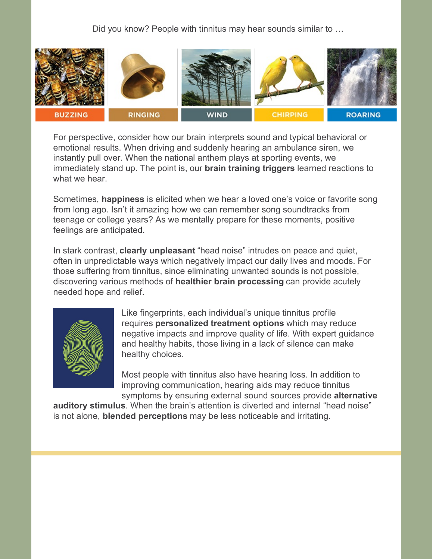Did you know? People with tinnitus may hear sounds similar to ...



For perspective, consider how our brain interprets sound and typical behavioral or emotional results. When driving and suddenly hearing an ambulance siren, we instantly pull over. When the national anthem plays at sporting events, we immediately stand up. The point is, our **brain training triggers** learned reactions to what we hear.

Sometimes, **happiness** is elicited when we hear a loved one's voice or favorite song from long ago. Isn't it amazing how we can remember song soundtracks from teenage or college years? As we mentally prepare for these moments, positive feelings are anticipated.

In stark contrast, **clearly unpleasant** "head noise" intrudes on peace and quiet, often in unpredictable ways which negatively impact our daily lives and moods. For those suffering from tinnitus, since eliminating unwanted sounds is not possible, discovering various methods of **healthier brain processing** can provide acutely needed hope and relief.



Like fingerprints, each individual's unique tinnitus profile requires **personalized treatment options** which may reduce negative impacts and improve quality of life. With expert guidance and healthy habits, those living in a lack of silence can make healthy choices.

Most people with tinnitus also have hearing loss. In addition to improving communication, hearing aids may reduce tinnitus symptoms by ensuring external sound sources provide **alternative**

**auditory stimulus**. When the brain's attention is diverted and internal "head noise" is not alone, **blended perceptions** may be less noticeable and irritating.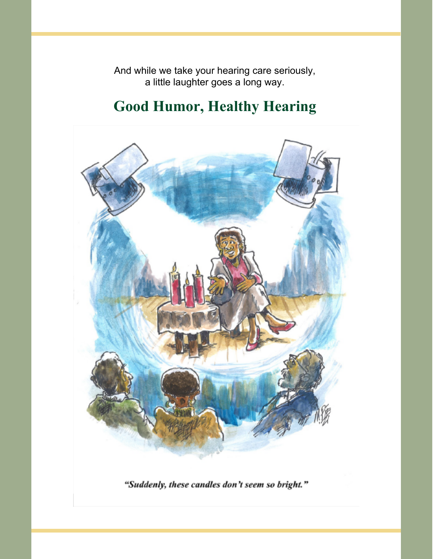And while we take your hearing care seriously, a little laughter goes a long way.

## **Good Humor, Healthy Hearing**



"Suddenly, these candles don't seem so bright."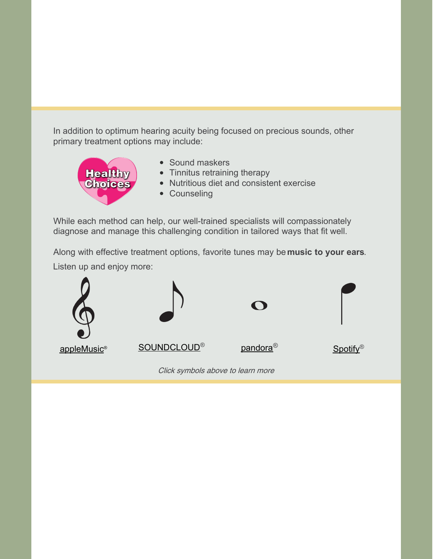In addition to optimum hearing acuity being focused on precious sounds, other primary treatment options may include:



- Sound maskers
- Tinnitus retraining therapy
- Nutritious diet and consistent exercise
- Counseling

While each method can help, our well-trained specialists will compassionately diagnose and manage this challenging condition in tailored ways that fit well.

Along with effective treatment options, favorite tunes may be **music to your ears**. Listen up and enjoy more: